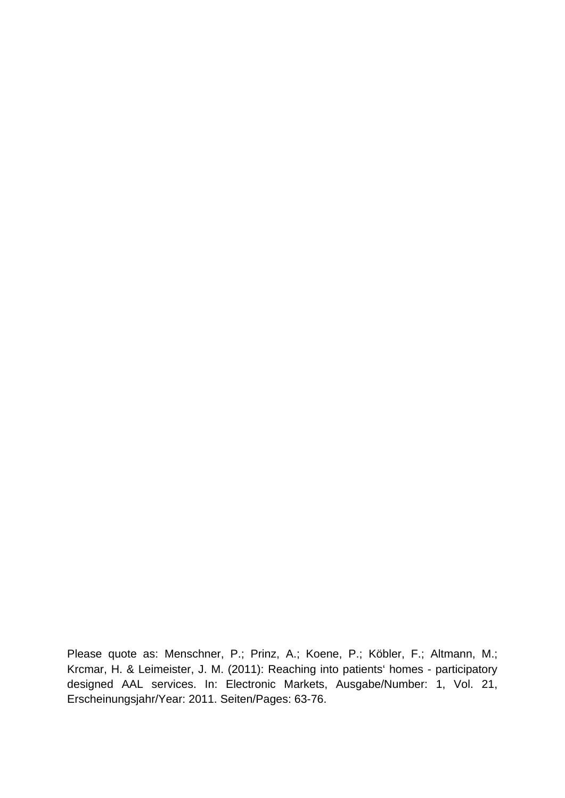Please quote as: Menschner, P.; Prinz, A.; Koene, P.; Köbler, F.; Altmann, M.; Krcmar, H. & Leimeister, J. M. (2011): Reaching into patients' homes - participatory designed AAL services. In: Electronic Markets, Ausgabe/Number: 1, Vol. 21, Erscheinungsjahr/Year: 2011. Seiten/Pages: 63-76.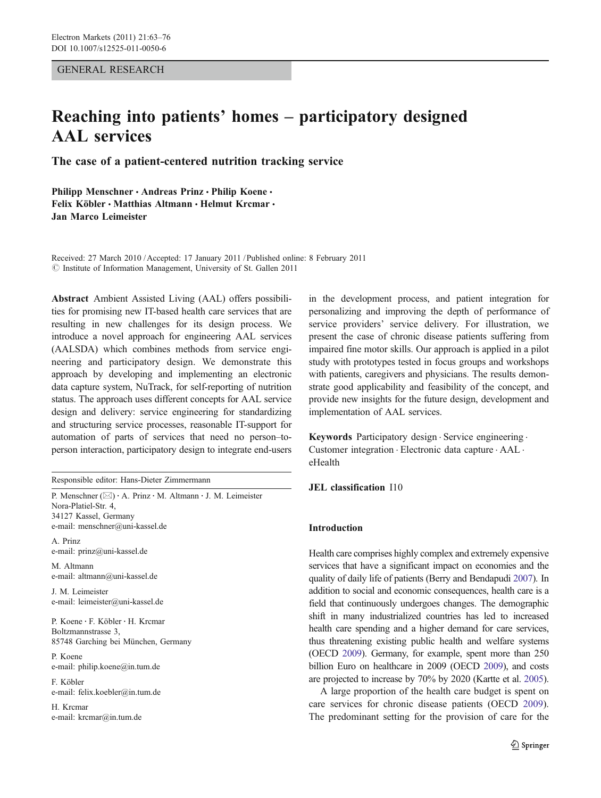GENERAL RESEARCH

# Reaching into patients' homes – participatory designed AAL services

The case of a patient-centered nutrition tracking service

Philipp Menschner • Andreas Prinz • Philip Koene • Felix Köbler • Matthias Altmann • Helmut Krcmar • Jan Marco Leimeister

Received: 27 March 2010 /Accepted: 17 January 2011 / Published online: 8 February 2011  $\oslash$  Institute of Information Management, University of St. Gallen 2011

Abstract Ambient Assisted Living (AAL) offers possibilities for promising new IT-based health care services that are resulting in new challenges for its design process. We introduce a novel approach for engineering AAL services (AALSDA) which combines methods from service engineering and participatory design. We demonstrate this approach by developing and implementing an electronic data capture system, NuTrack, for self-reporting of nutrition status. The approach uses different concepts for AAL service design and delivery: service engineering for standardizing and structuring service processes, reasonable IT-support for automation of parts of services that need no person–toperson interaction, participatory design to integrate end-users

Responsible editor: Hans-Dieter Zimmermann

P. Menschner  $(\boxtimes) \cdot$  A. Prinz  $\cdot$  M. Altmann  $\cdot$  J. M. Leimeister Nora-Platiel-Str. 4, 34127 Kassel, Germany e-mail: menschner@uni-kassel.de A. Prinz e-mail: prinz@uni-kassel.de M. Altmann e-mail: altmann@uni-kassel.de J. M. Leimeister e-mail: leimeister@uni-kassel.de P. Koene : F. Köbler : H. Krcmar Boltzmannstrasse 3, 85748 Garching bei München, Germany P. Koene e-mail: philip.koene@in.tum.de F. Köbler e-mail: felix.koebler@in.tum.de H. Krcmar e-mail: krcmar@in.tum.de

in the development process, and patient integration for personalizing and improving the depth of performance of service providers' service delivery. For illustration, we present the case of chronic disease patients suffering from impaired fine motor skills. Our approach is applied in a pilot study with prototypes tested in focus groups and workshops with patients, caregivers and physicians. The results demonstrate good applicability and feasibility of the concept, and provide new insights for the future design, development and implementation of AAL services.

Keywords Participatory design · Service engineering · Customer integration . Electronic data capture . AAL . eHealth

JEL classification I10

# Introduction

Health care comprises highly complex and extremely expensive services that have a significant impact on economies and the quality of daily life of patients (Berry and Bendapudi [2007\)](#page-12-0). In addition to social and economic consequences, health care is a field that continuously undergoes changes. The demographic shift in many industrialized countries has led to increased health care spending and a higher demand for care services, thus threatening existing public health and welfare systems (OECD [2009\)](#page-13-0). Germany, for example, spent more than 250 billion Euro on healthcare in 2009 (OECD [2009\)](#page-13-0), and costs are projected to increase by 70% by 2020 (Kartte et al. [2005\)](#page-12-0).

A large proportion of the health care budget is spent on care services for chronic disease patients (OECD [2009\)](#page-13-0). The predominant setting for the provision of care for the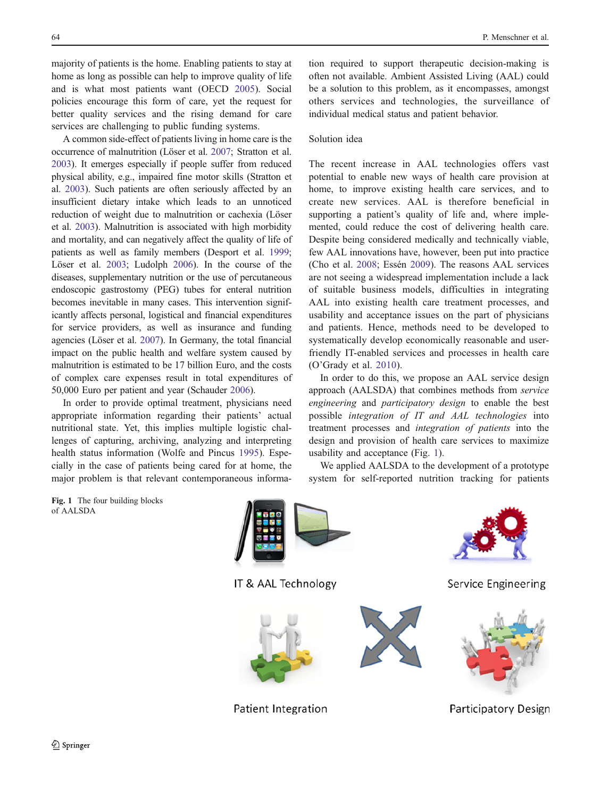majority of patients is the home. Enabling patients to stay at home as long as possible can help to improve quality of life and is what most patients want (OECD [2005\)](#page-13-0). Social policies encourage this form of care, yet the request for better quality services and the rising demand for care services are challenging to public funding systems.

A common side-effect of patients living in home care is the occurrence of malnutrition (Löser et al. [2007;](#page-13-0) Stratton et al. [2003\)](#page-13-0). It emerges especially if people suffer from reduced physical ability, e.g., impaired fine motor skills (Stratton et al. [2003](#page-13-0)). Such patients are often seriously affected by an insufficient dietary intake which leads to an unnoticed reduction of weight due to malnutrition or cachexia (Löser et al. [2003](#page-13-0)). Malnutrition is associated with high morbidity and mortality, and can negatively affect the quality of life of patients as well as family members (Desport et al. [1999](#page-12-0); Löser et al. [2003](#page-13-0); Ludolph [2006](#page-13-0)). In the course of the diseases, supplementary nutrition or the use of percutaneous endoscopic gastrostomy (PEG) tubes for enteral nutrition becomes inevitable in many cases. This intervention significantly affects personal, logistical and financial expenditures for service providers, as well as insurance and funding agencies (Löser et al. [2007\)](#page-13-0). In Germany, the total financial impact on the public health and welfare system caused by malnutrition is estimated to be 17 billion Euro, and the costs of complex care expenses result in total expenditures of 50,000 Euro per patient and year (Schauder [2006\)](#page-13-0).

In order to provide optimal treatment, physicians need appropriate information regarding their patients' actual nutritional state. Yet, this implies multiple logistic challenges of capturing, archiving, analyzing and interpreting health status information (Wolfe and Pincus [1995\)](#page-14-0). Especially in the case of patients being cared for at home, the major problem is that relevant contemporaneous informa-

tion required to support therapeutic decision-making is often not available. Ambient Assisted Living (AAL) could be a solution to this problem, as it encompasses, amongst others services and technologies, the surveillance of individual medical status and patient behavior.

# Solution idea

The recent increase in AAL technologies offers vast potential to enable new ways of health care provision at home, to improve existing health care services, and to create new services. AAL is therefore beneficial in supporting a patient's quality of life and, where implemented, could reduce the cost of delivering health care. Despite being considered medically and technically viable, few AAL innovations have, however, been put into practice (Cho et al. [2008;](#page-12-0) Essén [2009\)](#page-12-0). The reasons AAL services are not seeing a widespread implementation include a lack of suitable business models, difficulties in integrating AAL into existing health care treatment processes, and usability and acceptance issues on the part of physicians and patients. Hence, methods need to be developed to systematically develop economically reasonable and userfriendly IT-enabled services and processes in health care (O'Grady et al. [2010](#page-13-0)).

In order to do this, we propose an AAL service design approach (AALSDA) that combines methods from service engineering and participatory design to enable the best possible integration of IT and AAL technologies into treatment processes and integration of patients into the design and provision of health care services to maximize usability and acceptance (Fig. 1).

We applied AALSDA to the development of a prototype system for self-reported nutrition tracking for patients

Fig. 1 The four building blocks of AALSDA



Patient Integration



Participatory Design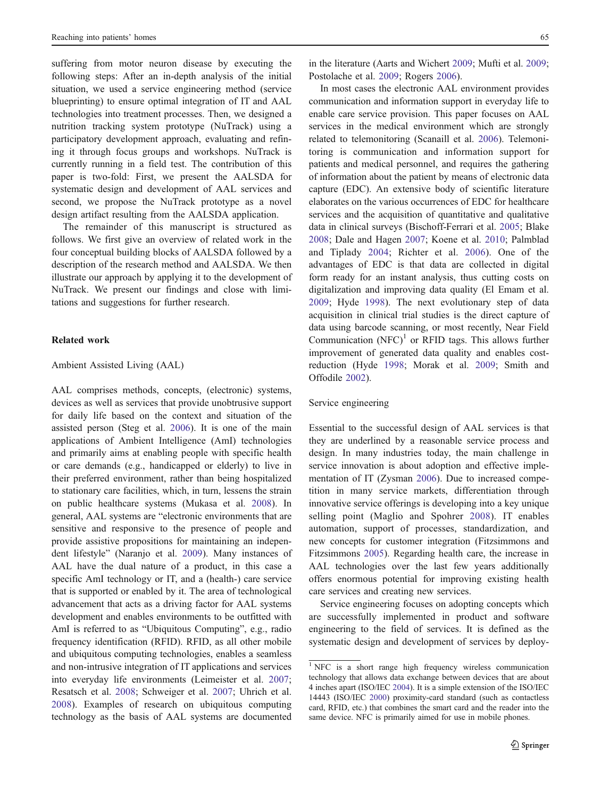suffering from motor neuron disease by executing the following steps: After an in-depth analysis of the initial situation, we used a service engineering method (service blueprinting) to ensure optimal integration of IT and AAL technologies into treatment processes. Then, we designed a nutrition tracking system prototype (NuTrack) using a participatory development approach, evaluating and refining it through focus groups and workshops. NuTrack is currently running in a field test. The contribution of this paper is two-fold: First, we present the AALSDA for systematic design and development of AAL services and second, we propose the NuTrack prototype as a novel design artifact resulting from the AALSDA application.

The remainder of this manuscript is structured as follows. We first give an overview of related work in the four conceptual building blocks of AALSDA followed by a description of the research method and AALSDA. We then illustrate our approach by applying it to the development of NuTrack. We present our findings and close with limitations and suggestions for further research.

## Related work

## Ambient Assisted Living (AAL)

AAL comprises methods, concepts, (electronic) systems, devices as well as services that provide unobtrusive support for daily life based on the context and situation of the assisted person (Steg et al. [2006\)](#page-13-0). It is one of the main applications of Ambient Intelligence (AmI) technologies and primarily aims at enabling people with specific health or care demands (e.g., handicapped or elderly) to live in their preferred environment, rather than being hospitalized to stationary care facilities, which, in turn, lessens the strain on public healthcare systems (Mukasa et al. [2008](#page-13-0)). In general, AAL systems are "electronic environments that are sensitive and responsive to the presence of people and provide assistive propositions for maintaining an independent lifestyle" (Naranjo et al. [2009\)](#page-13-0). Many instances of AAL have the dual nature of a product, in this case a specific AmI technology or IT, and a (health-) care service that is supported or enabled by it. The area of technological advancement that acts as a driving factor for AAL systems development and enables environments to be outfitted with AmI is referred to as "Ubiquitous Computing", e.g., radio frequency identification (RFID). RFID, as all other mobile and ubiquitous computing technologies, enables a seamless and non-intrusive integration of IT applications and services into everyday life environments (Leimeister et al. [2007](#page-13-0); Resatsch et al. [2008](#page-13-0); Schweiger et al. [2007;](#page-13-0) Uhrich et al. [2008](#page-13-0)). Examples of research on ubiquitous computing technology as the basis of AAL systems are documented

in the literature (Aarts and Wichert [2009](#page-12-0); Mufti et al. [2009;](#page-13-0) Postolache et al. [2009](#page-13-0); Rogers [2006\)](#page-13-0).

In most cases the electronic AAL environment provides communication and information support in everyday life to enable care service provision. This paper focuses on AAL services in the medical environment which are strongly related to telemonitoring (Scanaill et al. [2006](#page-13-0)). Telemonitoring is communication and information support for patients and medical personnel, and requires the gathering of information about the patient by means of electronic data capture (EDC). An extensive body of scientific literature elaborates on the various occurrences of EDC for healthcare services and the acquisition of quantitative and qualitative data in clinical surveys (Bischoff-Ferrari et al. [2005](#page-12-0); Blake [2008](#page-12-0); Dale and Hagen [2007;](#page-12-0) Koene et al. [2010;](#page-12-0) Palmblad and Tiplady [2004](#page-13-0); Richter et al. [2006](#page-13-0)). One of the advantages of EDC is that data are collected in digital form ready for an instant analysis, thus cutting costs on digitalization and improving data quality (El Emam et al. [2009](#page-12-0); Hyde [1998\)](#page-12-0). The next evolutionary step of data acquisition in clinical trial studies is the direct capture of data using barcode scanning, or most recently, Near Field Communication  $(NFC)^1$  or RFID tags. This allows further improvement of generated data quality and enables costreduction (Hyde [1998;](#page-12-0) Morak et al. [2009](#page-13-0); Smith and Offodile [2002\)](#page-13-0).

## Service engineering

Essential to the successful design of AAL services is that they are underlined by a reasonable service process and design. In many industries today, the main challenge in service innovation is about adoption and effective implementation of IT (Zysman [2006\)](#page-14-0). Due to increased competition in many service markets, differentiation through innovative service offerings is developing into a key unique selling point (Maglio and Spohrer [2008](#page-13-0)). IT enables automation, support of processes, standardization, and new concepts for customer integration (Fitzsimmons and Fitzsimmons [2005\)](#page-12-0). Regarding health care, the increase in AAL technologies over the last few years additionally offers enormous potential for improving existing health care services and creating new services.

Service engineering focuses on adopting concepts which are successfully implemented in product and software engineering to the field of services. It is defined as the systematic design and development of services by deploy-

<sup>&</sup>lt;sup>1</sup>NFC is a short range high frequency wireless communication technology that allows data exchange between devices that are about 4 inches apart (ISO/IEC [2004](#page-12-0)). It is a simple extension of the ISO/IEC 14443 (ISO/IEC [2000](#page-12-0)) proximity-card standard (such as contactless card, RFID, etc.) that combines the smart card and the reader into the same device. NFC is primarily aimed for use in mobile phones.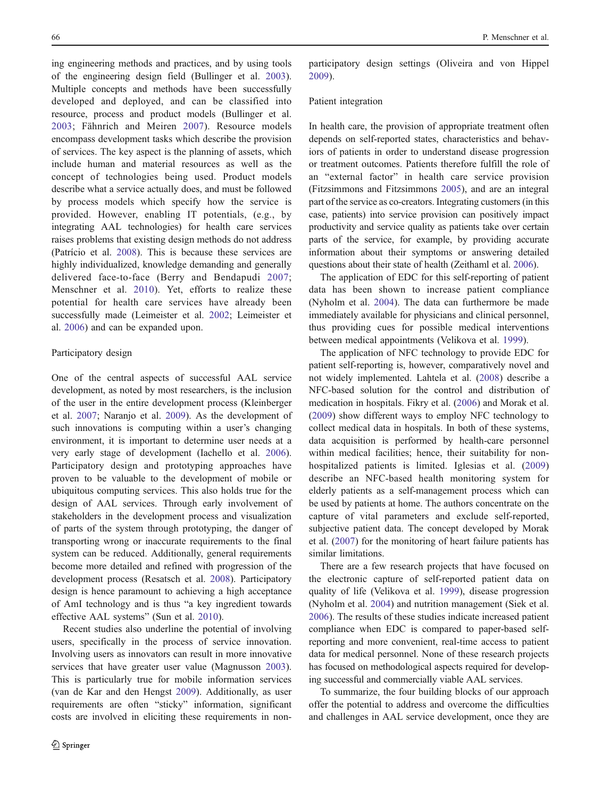ing engineering methods and practices, and by using tools of the engineering design field (Bullinger et al. [2003](#page-12-0)). Multiple concepts and methods have been successfully developed and deployed, and can be classified into resource, process and product models (Bullinger et al. [2003;](#page-12-0) Fähnrich and Meiren [2007](#page-12-0)). Resource models encompass development tasks which describe the provision of services. The key aspect is the planning of assets, which include human and material resources as well as the concept of technologies being used. Product models describe what a service actually does, and must be followed by process models which specify how the service is provided. However, enabling IT potentials, (e.g., by integrating AAL technologies) for health care services raises problems that existing design methods do not address (Patrício et al. [2008\)](#page-13-0). This is because these services are highly individualized, knowledge demanding and generally delivered face-to-face (Berry and Bendapudi [2007](#page-12-0); Menschner et al. [2010\)](#page-13-0). Yet, efforts to realize these potential for health care services have already been successfully made (Leimeister et al. [2002](#page-12-0); Leimeister et al. [2006\)](#page-12-0) and can be expanded upon.

#### Participatory design

One of the central aspects of successful AAL service development, as noted by most researchers, is the inclusion of the user in the entire development process (Kleinberger et al. [2007](#page-12-0); Naranjo et al. [2009](#page-13-0)). As the development of such innovations is computing within a user's changing environment, it is important to determine user needs at a very early stage of development (Iachello et al. [2006](#page-12-0)). Participatory design and prototyping approaches have proven to be valuable to the development of mobile or ubiquitous computing services. This also holds true for the design of AAL services. Through early involvement of stakeholders in the development process and visualization of parts of the system through prototyping, the danger of transporting wrong or inaccurate requirements to the final system can be reduced. Additionally, general requirements become more detailed and refined with progression of the development process (Resatsch et al. [2008](#page-13-0)). Participatory design is hence paramount to achieving a high acceptance of AmI technology and is thus "a key ingredient towards effective AAL systems" (Sun et al. [2010](#page-13-0)).

Recent studies also underline the potential of involving users, specifically in the process of service innovation. Involving users as innovators can result in more innovative services that have greater user value (Magnusson [2003](#page-13-0)). This is particularly true for mobile information services (van de Kar and den Hengst [2009](#page-13-0)). Additionally, as user requirements are often "sticky" information, significant costs are involved in eliciting these requirements in nonparticipatory design settings (Oliveira and von Hippel [2009](#page-13-0)).

#### Patient integration

In health care, the provision of appropriate treatment often depends on self-reported states, characteristics and behaviors of patients in order to understand disease progression or treatment outcomes. Patients therefore fulfill the role of an "external factor" in health care service provision (Fitzsimmons and Fitzsimmons [2005](#page-12-0)), and are an integral part of the service as co-creators. Integrating customers (in this case, patients) into service provision can positively impact productivity and service quality as patients take over certain parts of the service, for example, by providing accurate information about their symptoms or answering detailed questions about their state of health (Zeithaml et al. [2006\)](#page-14-0).

The application of EDC for this self-reporting of patient data has been shown to increase patient compliance (Nyholm et al. [2004\)](#page-13-0). The data can furthermore be made immediately available for physicians and clinical personnel, thus providing cues for possible medical interventions between medical appointments (Velikova et al. [1999](#page-14-0)).

The application of NFC technology to provide EDC for patient self-reporting is, however, comparatively novel and not widely implemented. Lahtela et al. [\(2008](#page-12-0)) describe a NFC-based solution for the control and distribution of medication in hospitals. Fikry et al. ([2006\)](#page-12-0) and Morak et al. [\(2009](#page-13-0)) show different ways to employ NFC technology to collect medical data in hospitals. In both of these systems, data acquisition is performed by health-care personnel within medical facilities; hence, their suitability for nonhospitalized patients is limited. Iglesias et al. ([2009](#page-12-0)) describe an NFC-based health monitoring system for elderly patients as a self-management process which can be used by patients at home. The authors concentrate on the capture of vital parameters and exclude self-reported, subjective patient data. The concept developed by Morak et al. [\(2007](#page-13-0)) for the monitoring of heart failure patients has similar limitations.

There are a few research projects that have focused on the electronic capture of self-reported patient data on quality of life (Velikova et al. [1999](#page-14-0)), disease progression (Nyholm et al. [2004](#page-13-0)) and nutrition management (Siek et al. [2006](#page-13-0)). The results of these studies indicate increased patient compliance when EDC is compared to paper-based selfreporting and more convenient, real-time access to patient data for medical personnel. None of these research projects has focused on methodological aspects required for developing successful and commercially viable AAL services.

To summarize, the four building blocks of our approach offer the potential to address and overcome the difficulties and challenges in AAL service development, once they are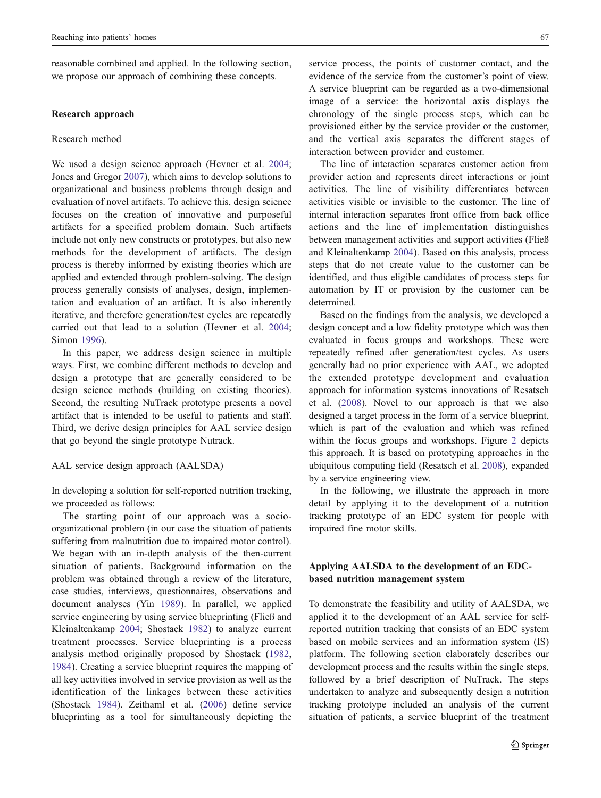reasonable combined and applied. In the following section, we propose our approach of combining these concepts.

## Research approach

## Research method

We used a design science approach (Hevner et al. [2004](#page-12-0); Jones and Gregor [2007\)](#page-12-0), which aims to develop solutions to organizational and business problems through design and evaluation of novel artifacts. To achieve this, design science focuses on the creation of innovative and purposeful artifacts for a specified problem domain. Such artifacts include not only new constructs or prototypes, but also new methods for the development of artifacts. The design process is thereby informed by existing theories which are applied and extended through problem-solving. The design process generally consists of analyses, design, implementation and evaluation of an artifact. It is also inherently iterative, and therefore generation/test cycles are repeatedly carried out that lead to a solution (Hevner et al. [2004](#page-12-0); Simon [1996](#page-13-0)).

In this paper, we address design science in multiple ways. First, we combine different methods to develop and design a prototype that are generally considered to be design science methods (building on existing theories). Second, the resulting NuTrack prototype presents a novel artifact that is intended to be useful to patients and staff. Third, we derive design principles for AAL service design that go beyond the single prototype Nutrack.

## AAL service design approach (AALSDA)

In developing a solution for self-reported nutrition tracking, we proceeded as follows:

The starting point of our approach was a socioorganizational problem (in our case the situation of patients suffering from malnutrition due to impaired motor control). We began with an in-depth analysis of the then-current situation of patients. Background information on the problem was obtained through a review of the literature, case studies, interviews, questionnaires, observations and document analyses (Yin [1989\)](#page-14-0). In parallel, we applied service engineering by using service blueprinting (Fließ and Kleinaltenkamp [2004;](#page-12-0) Shostack [1982](#page-13-0)) to analyze current treatment processes. Service blueprinting is a process analysis method originally proposed by Shostack ([1982,](#page-13-0) [1984\)](#page-13-0). Creating a service blueprint requires the mapping of all key activities involved in service provision as well as the identification of the linkages between these activities (Shostack [1984](#page-13-0)). Zeithaml et al. [\(2006](#page-14-0)) define service blueprinting as a tool for simultaneously depicting the

service process, the points of customer contact, and the evidence of the service from the customer's point of view. A service blueprint can be regarded as a two-dimensional image of a service: the horizontal axis displays the chronology of the single process steps, which can be provisioned either by the service provider or the customer, and the vertical axis separates the different stages of interaction between provider and customer.

The line of interaction separates customer action from provider action and represents direct interactions or joint activities. The line of visibility differentiates between activities visible or invisible to the customer. The line of internal interaction separates front office from back office actions and the line of implementation distinguishes between management activities and support activities (Fließ and Kleinaltenkamp [2004](#page-12-0)). Based on this analysis, process steps that do not create value to the customer can be identified, and thus eligible candidates of process steps for automation by IT or provision by the customer can be determined.

Based on the findings from the analysis, we developed a design concept and a low fidelity prototype which was then evaluated in focus groups and workshops. These were repeatedly refined after generation/test cycles. As users generally had no prior experience with AAL, we adopted the extended prototype development and evaluation approach for information systems innovations of Resatsch et al. [\(2008](#page-13-0)). Novel to our approach is that we also designed a target process in the form of a service blueprint, which is part of the evaluation and which was refined within the focus groups and workshops. Figure [2](#page-6-0) depicts this approach. It is based on prototyping approaches in the ubiquitous computing field (Resatsch et al. [2008\)](#page-13-0), expanded by a service engineering view.

In the following, we illustrate the approach in more detail by applying it to the development of a nutrition tracking prototype of an EDC system for people with impaired fine motor skills.

# Applying AALSDA to the development of an EDCbased nutrition management system

To demonstrate the feasibility and utility of AALSDA, we applied it to the development of an AAL service for selfreported nutrition tracking that consists of an EDC system based on mobile services and an information system (IS) platform. The following section elaborately describes our development process and the results within the single steps, followed by a brief description of NuTrack. The steps undertaken to analyze and subsequently design a nutrition tracking prototype included an analysis of the current situation of patients, a service blueprint of the treatment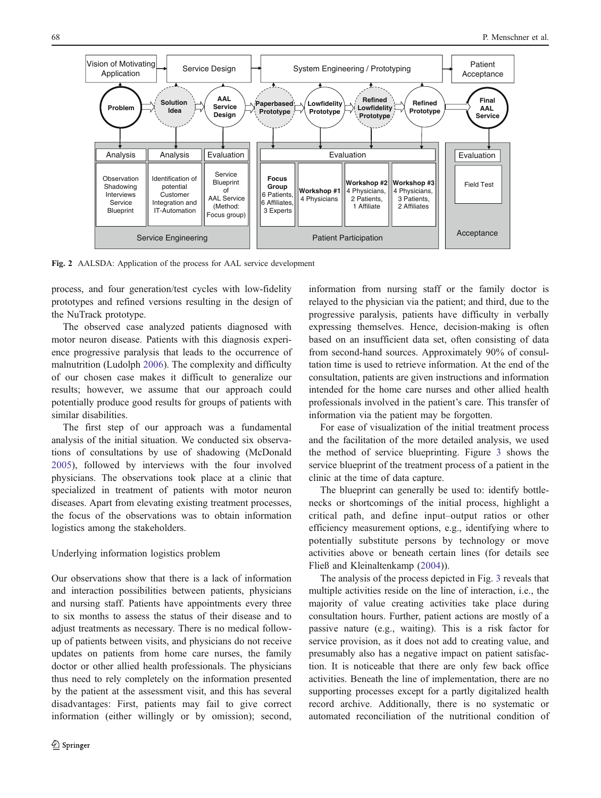<span id="page-6-0"></span>

Fig. 2 AALSDA: Application of the process for AAL service development

process, and four generation/test cycles with low-fidelity prototypes and refined versions resulting in the design of the NuTrack prototype.

The observed case analyzed patients diagnosed with motor neuron disease. Patients with this diagnosis experience progressive paralysis that leads to the occurrence of malnutrition (Ludolph [2006](#page-13-0)). The complexity and difficulty of our chosen case makes it difficult to generalize our results; however, we assume that our approach could potentially produce good results for groups of patients with similar disabilities.

The first step of our approach was a fundamental analysis of the initial situation. We conducted six observations of consultations by use of shadowing (McDonald [2005](#page-13-0)), followed by interviews with the four involved physicians. The observations took place at a clinic that specialized in treatment of patients with motor neuron diseases. Apart from elevating existing treatment processes, the focus of the observations was to obtain information logistics among the stakeholders.

#### Underlying information logistics problem

Our observations show that there is a lack of information and interaction possibilities between patients, physicians and nursing staff. Patients have appointments every three to six months to assess the status of their disease and to adjust treatments as necessary. There is no medical followup of patients between visits, and physicians do not receive updates on patients from home care nurses, the family doctor or other allied health professionals. The physicians thus need to rely completely on the information presented by the patient at the assessment visit, and this has several disadvantages: First, patients may fail to give correct information (either willingly or by omission); second, information from nursing staff or the family doctor is relayed to the physician via the patient; and third, due to the progressive paralysis, patients have difficulty in verbally expressing themselves. Hence, decision-making is often based on an insufficient data set, often consisting of data from second-hand sources. Approximately 90% of consultation time is used to retrieve information. At the end of the consultation, patients are given instructions and information intended for the home care nurses and other allied health professionals involved in the patient's care. This transfer of information via the patient may be forgotten.

For ease of visualization of the initial treatment process and the facilitation of the more detailed analysis, we used the method of service blueprinting. Figure [3](#page-7-0) shows the service blueprint of the treatment process of a patient in the clinic at the time of data capture.

The blueprint can generally be used to: identify bottlenecks or shortcomings of the initial process, highlight a critical path, and define input–output ratios or other efficiency measurement options, e.g., identifying where to potentially substitute persons by technology or move activities above or beneath certain lines (for details see Fließ and Kleinaltenkamp ([2004\)](#page-12-0)).

The analysis of the process depicted in Fig. [3](#page-7-0) reveals that multiple activities reside on the line of interaction, i.e., the majority of value creating activities take place during consultation hours. Further, patient actions are mostly of a passive nature (e.g., waiting). This is a risk factor for service provision, as it does not add to creating value, and presumably also has a negative impact on patient satisfaction. It is noticeable that there are only few back office activities. Beneath the line of implementation, there are no supporting processes except for a partly digitalized health record archive. Additionally, there is no systematic or automated reconciliation of the nutritional condition of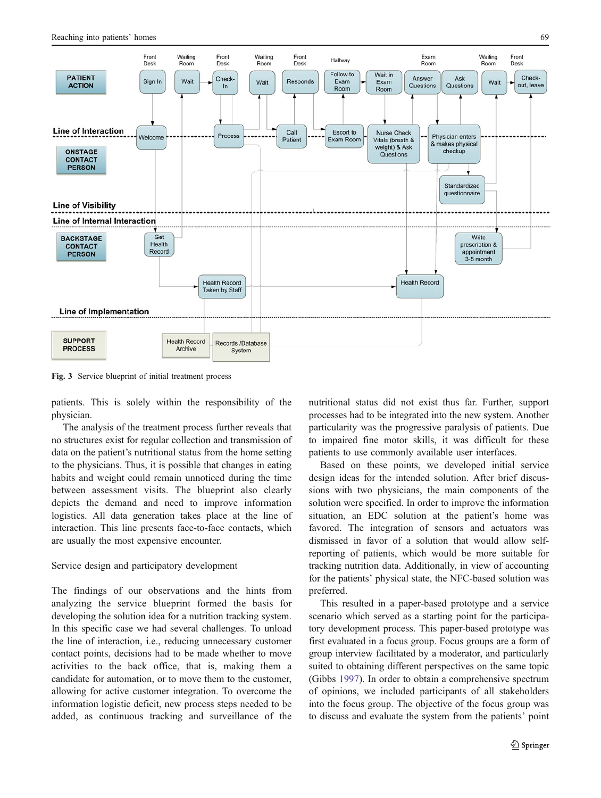<span id="page-7-0"></span>

Fig. 3 Service blueprint of initial treatment process

patients. This is solely within the responsibility of the physician.

The analysis of the treatment process further reveals that no structures exist for regular collection and transmission of data on the patient's nutritional status from the home setting to the physicians. Thus, it is possible that changes in eating habits and weight could remain unnoticed during the time between assessment visits. The blueprint also clearly depicts the demand and need to improve information logistics. All data generation takes place at the line of interaction. This line presents face-to-face contacts, which are usually the most expensive encounter.

#### Service design and participatory development

The findings of our observations and the hints from analyzing the service blueprint formed the basis for developing the solution idea for a nutrition tracking system. In this specific case we had several challenges. To unload the line of interaction, i.e., reducing unnecessary customer contact points, decisions had to be made whether to move activities to the back office, that is, making them a candidate for automation, or to move them to the customer, allowing for active customer integration. To overcome the information logistic deficit, new process steps needed to be added, as continuous tracking and surveillance of the nutritional status did not exist thus far. Further, support processes had to be integrated into the new system. Another particularity was the progressive paralysis of patients. Due to impaired fine motor skills, it was difficult for these patients to use commonly available user interfaces.

Based on these points, we developed initial service design ideas for the intended solution. After brief discussions with two physicians, the main components of the solution were specified. In order to improve the information situation, an EDC solution at the patient's home was favored. The integration of sensors and actuators was dismissed in favor of a solution that would allow selfreporting of patients, which would be more suitable for tracking nutrition data. Additionally, in view of accounting for the patients' physical state, the NFC-based solution was preferred.

This resulted in a paper-based prototype and a service scenario which served as a starting point for the participatory development process. This paper-based prototype was first evaluated in a focus group. Focus groups are a form of group interview facilitated by a moderator, and particularly suited to obtaining different perspectives on the same topic (Gibbs [1997\)](#page-12-0). In order to obtain a comprehensive spectrum of opinions, we included participants of all stakeholders into the focus group. The objective of the focus group was to discuss and evaluate the system from the patients' point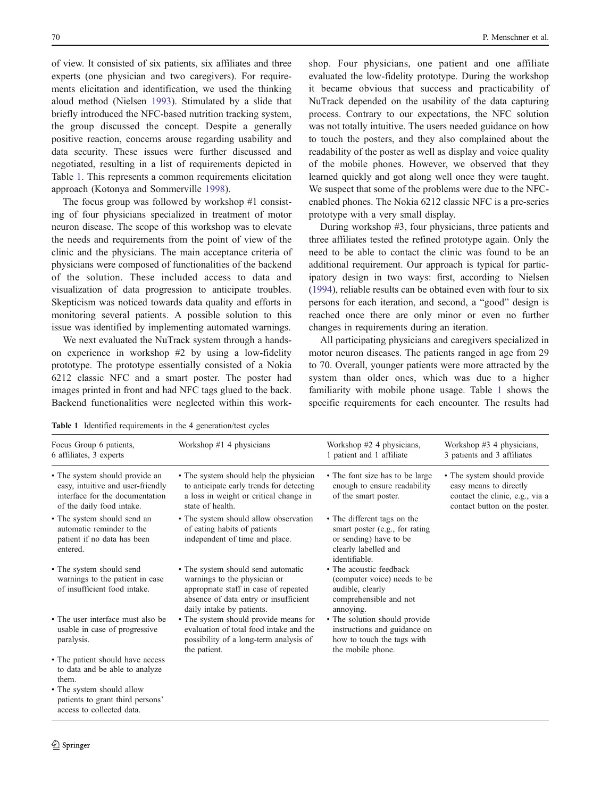of view. It consisted of six patients, six affiliates and three experts (one physician and two caregivers). For requirements elicitation and identification, we used the thinking aloud method (Nielsen [1993\)](#page-13-0). Stimulated by a slide that briefly introduced the NFC-based nutrition tracking system, the group discussed the concept. Despite a generally positive reaction, concerns arouse regarding usability and data security. These issues were further discussed and negotiated, resulting in a list of requirements depicted in Table 1. This represents a common requirements elicitation approach (Kotonya and Sommerville [1998](#page-12-0)).

The focus group was followed by workshop #1 consisting of four physicians specialized in treatment of motor neuron disease. The scope of this workshop was to elevate the needs and requirements from the point of view of the clinic and the physicians. The main acceptance criteria of physicians were composed of functionalities of the backend of the solution. These included access to data and visualization of data progression to anticipate troubles. Skepticism was noticed towards data quality and efforts in monitoring several patients. A possible solution to this issue was identified by implementing automated warnings.

We next evaluated the NuTrack system through a handson experience in workshop #2 by using a low-fidelity prototype. The prototype essentially consisted of a Nokia 6212 classic NFC and a smart poster. The poster had images printed in front and had NFC tags glued to the back. Backend functionalities were neglected within this workshop. Four physicians, one patient and one affiliate evaluated the low-fidelity prototype. During the workshop it became obvious that success and practicability of NuTrack depended on the usability of the data capturing process. Contrary to our expectations, the NFC solution was not totally intuitive. The users needed guidance on how to touch the posters, and they also complained about the readability of the poster as well as display and voice quality of the mobile phones. However, we observed that they learned quickly and got along well once they were taught. We suspect that some of the problems were due to the NFCenabled phones. The Nokia 6212 classic NFC is a pre-series prototype with a very small display.

During workshop #3, four physicians, three patients and three affiliates tested the refined prototype again. Only the need to be able to contact the clinic was found to be an additional requirement. Our approach is typical for participatory design in two ways: first, according to Nielsen [\(1994](#page-13-0)), reliable results can be obtained even with four to six persons for each iteration, and second, a "good" design is reached once there are only minor or even no further changes in requirements during an iteration.

All participating physicians and caregivers specialized in motor neuron diseases. The patients ranged in age from 29 to 70. Overall, younger patients were more attracted by the system than older ones, which was due to a higher familiarity with mobile phone usage. Table 1 shows the specific requirements for each encounter. The results had

Table 1 Identified requirements in the 4 generation/test cycles

| Focus Group 6 patients,<br>6 affiliates, 3 experts                                                                                           | Workshop $#1$ 4 physicians                                                                                                                                                        | Workshop #2 4 physicians,<br>1 patient and 1 affiliate                                                                           | Workshop #3 4 physicians,<br>3 patients and 3 affiliates                                                                  |
|----------------------------------------------------------------------------------------------------------------------------------------------|-----------------------------------------------------------------------------------------------------------------------------------------------------------------------------------|----------------------------------------------------------------------------------------------------------------------------------|---------------------------------------------------------------------------------------------------------------------------|
| • The system should provide an<br>easy, intuitive and user-friendly<br>interface for the documentation<br>of the daily food intake.          | • The system should help the physician<br>to anticipate early trends for detecting<br>a loss in weight or critical change in<br>state of health.                                  | • The font size has to be large<br>enough to ensure readability<br>of the smart poster.                                          | • The system should provide<br>easy means to directly<br>contact the clinic, e.g., via a<br>contact button on the poster. |
| • The system should send an<br>automatic reminder to the<br>patient if no data has been<br>entered.                                          | • The system should allow observation<br>of eating habits of patients<br>independent of time and place.                                                                           | • The different tags on the<br>smart poster (e.g., for rating<br>or sending) have to be<br>clearly labelled and<br>identifiable. |                                                                                                                           |
| • The system should send<br>warnings to the patient in case<br>of insufficient food intake.                                                  | • The system should send automatic<br>warnings to the physician or<br>appropriate staff in case of repeated<br>absence of data entry or insufficient<br>daily intake by patients. | • The acoustic feedback<br>(computer voice) needs to be<br>audible, clearly<br>comprehensible and not<br>annoying.               |                                                                                                                           |
| • The user interface must also be<br>usable in case of progressive<br>paralysis.                                                             | • The system should provide means for<br>evaluation of total food intake and the<br>possibility of a long-term analysis of<br>the patient.                                        | • The solution should provide<br>instructions and guidance on<br>how to touch the tags with<br>the mobile phone.                 |                                                                                                                           |
| • The patient should have access<br>to data and be able to analyze<br>them.<br>• The system should allow<br>patients to grant third persons' |                                                                                                                                                                                   |                                                                                                                                  |                                                                                                                           |

access to collected data.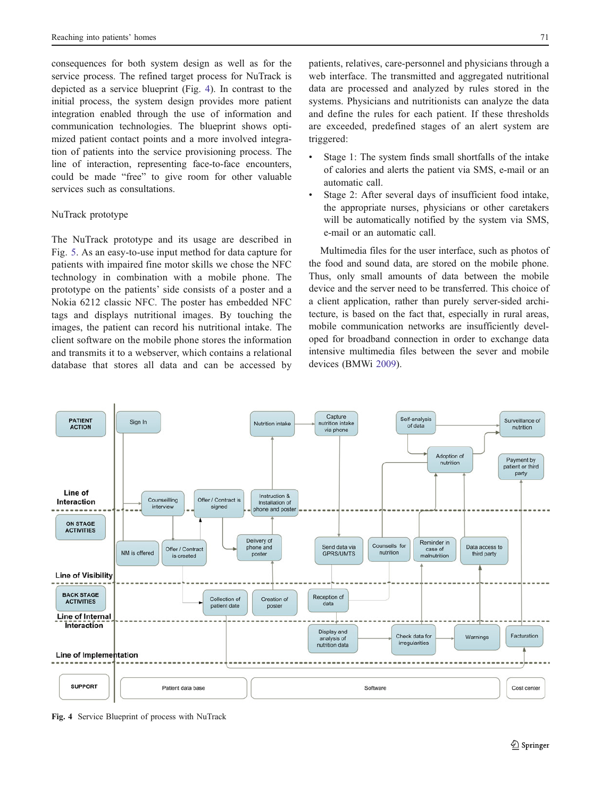consequences for both system design as well as for the service process. The refined target process for NuTrack is depicted as a service blueprint (Fig. 4). In contrast to the initial process, the system design provides more patient integration enabled through the use of information and communication technologies. The blueprint shows optimized patient contact points and a more involved integration of patients into the service provisioning process. The line of interaction, representing face-to-face encounters, could be made "free" to give room for other valuable services such as consultations.

#### NuTrack prototype

The NuTrack prototype and its usage are described in Fig. [5](#page-10-0). As an easy-to-use input method for data capture for patients with impaired fine motor skills we chose the NFC technology in combination with a mobile phone. The prototype on the patients' side consists of a poster and a Nokia 6212 classic NFC. The poster has embedded NFC tags and displays nutritional images. By touching the images, the patient can record his nutritional intake. The client software on the mobile phone stores the information and transmits it to a webserver, which contains a relational database that stores all data and can be accessed by

patients, relatives, care-personnel and physicians through a web interface. The transmitted and aggregated nutritional data are processed and analyzed by rules stored in the systems. Physicians and nutritionists can analyze the data and define the rules for each patient. If these thresholds are exceeded, predefined stages of an alert system are triggered:

- & Stage 1: The system finds small shortfalls of the intake of calories and alerts the patient via SMS, e-mail or an automatic call.
- Stage 2: After several days of insufficient food intake, the appropriate nurses, physicians or other caretakers will be automatically notified by the system via SMS, e-mail or an automatic call.

Multimedia files for the user interface, such as photos of the food and sound data, are stored on the mobile phone. Thus, only small amounts of data between the mobile device and the server need to be transferred. This choice of a client application, rather than purely server-sided architecture, is based on the fact that, especially in rural areas, mobile communication networks are insufficiently developed for broadband connection in order to exchange data intensive multimedia files between the sever and mobile devices (BMWi [2009\)](#page-12-0).



Fig. 4 Service Blueprint of process with NuTrack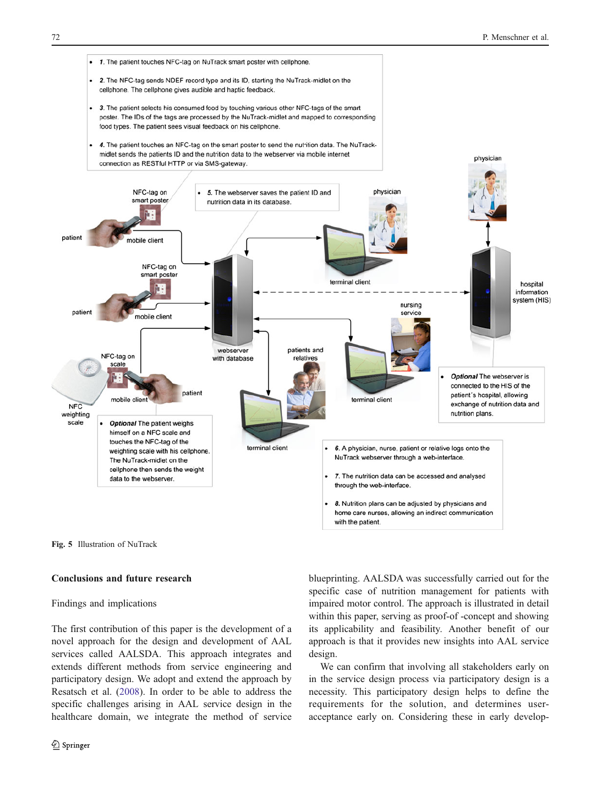<span id="page-10-0"></span>

Fig. 5 Illustration of NuTrack

# Conclusions and future research

#### Findings and implications

The first contribution of this paper is the development of a novel approach for the design and development of AAL services called AALSDA. This approach integrates and extends different methods from service engineering and participatory design. We adopt and extend the approach by Resatsch et al. [\(2008](#page-13-0)). In order to be able to address the specific challenges arising in AAL service design in the healthcare domain, we integrate the method of service

blueprinting. AALSDA was successfully carried out for the specific case of nutrition management for patients with impaired motor control. The approach is illustrated in detail within this paper, serving as proof-of -concept and showing its applicability and feasibility. Another benefit of our approach is that it provides new insights into AAL service design.

We can confirm that involving all stakeholders early on in the service design process via participatory design is a necessity. This participatory design helps to define the requirements for the solution, and determines useracceptance early on. Considering these in early develop-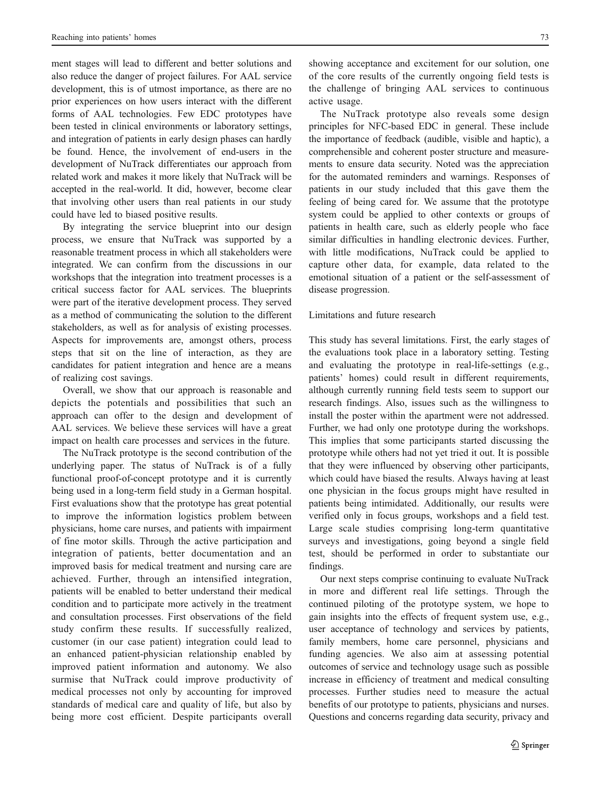ment stages will lead to different and better solutions and also reduce the danger of project failures. For AAL service development, this is of utmost importance, as there are no prior experiences on how users interact with the different forms of AAL technologies. Few EDC prototypes have been tested in clinical environments or laboratory settings, and integration of patients in early design phases can hardly be found. Hence, the involvement of end-users in the development of NuTrack differentiates our approach from related work and makes it more likely that NuTrack will be accepted in the real-world. It did, however, become clear that involving other users than real patients in our study could have led to biased positive results.

By integrating the service blueprint into our design process, we ensure that NuTrack was supported by a reasonable treatment process in which all stakeholders were integrated. We can confirm from the discussions in our workshops that the integration into treatment processes is a critical success factor for AAL services. The blueprints were part of the iterative development process. They served as a method of communicating the solution to the different stakeholders, as well as for analysis of existing processes. Aspects for improvements are, amongst others, process steps that sit on the line of interaction, as they are candidates for patient integration and hence are a means of realizing cost savings.

Overall, we show that our approach is reasonable and depicts the potentials and possibilities that such an approach can offer to the design and development of AAL services. We believe these services will have a great impact on health care processes and services in the future.

The NuTrack prototype is the second contribution of the underlying paper. The status of NuTrack is of a fully functional proof-of-concept prototype and it is currently being used in a long-term field study in a German hospital. First evaluations show that the prototype has great potential to improve the information logistics problem between physicians, home care nurses, and patients with impairment of fine motor skills. Through the active participation and integration of patients, better documentation and an improved basis for medical treatment and nursing care are achieved. Further, through an intensified integration, patients will be enabled to better understand their medical condition and to participate more actively in the treatment and consultation processes. First observations of the field study confirm these results. If successfully realized, customer (in our case patient) integration could lead to an enhanced patient-physician relationship enabled by improved patient information and autonomy. We also surmise that NuTrack could improve productivity of medical processes not only by accounting for improved standards of medical care and quality of life, but also by being more cost efficient. Despite participants overall

showing acceptance and excitement for our solution, one of the core results of the currently ongoing field tests is the challenge of bringing AAL services to continuous active usage.

The NuTrack prototype also reveals some design principles for NFC-based EDC in general. These include the importance of feedback (audible, visible and haptic), a comprehensible and coherent poster structure and measurements to ensure data security. Noted was the appreciation for the automated reminders and warnings. Responses of patients in our study included that this gave them the feeling of being cared for. We assume that the prototype system could be applied to other contexts or groups of patients in health care, such as elderly people who face similar difficulties in handling electronic devices. Further, with little modifications, NuTrack could be applied to capture other data, for example, data related to the emotional situation of a patient or the self-assessment of disease progression.

## Limitations and future research

This study has several limitations. First, the early stages of the evaluations took place in a laboratory setting. Testing and evaluating the prototype in real-life-settings (e.g., patients' homes) could result in different requirements, although currently running field tests seem to support our research findings. Also, issues such as the willingness to install the poster within the apartment were not addressed. Further, we had only one prototype during the workshops. This implies that some participants started discussing the prototype while others had not yet tried it out. It is possible that they were influenced by observing other participants, which could have biased the results. Always having at least one physician in the focus groups might have resulted in patients being intimidated. Additionally, our results were verified only in focus groups, workshops and a field test. Large scale studies comprising long-term quantitative surveys and investigations, going beyond a single field test, should be performed in order to substantiate our findings.

Our next steps comprise continuing to evaluate NuTrack in more and different real life settings. Through the continued piloting of the prototype system, we hope to gain insights into the effects of frequent system use, e.g., user acceptance of technology and services by patients, family members, home care personnel, physicians and funding agencies. We also aim at assessing potential outcomes of service and technology usage such as possible increase in efficiency of treatment and medical consulting processes. Further studies need to measure the actual benefits of our prototype to patients, physicians and nurses. Questions and concerns regarding data security, privacy and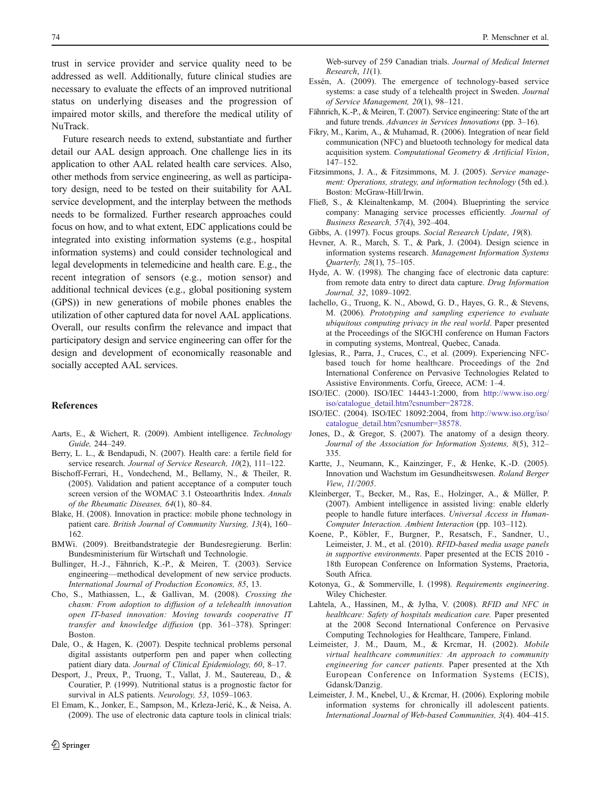<span id="page-12-0"></span>trust in service provider and service quality need to be addressed as well. Additionally, future clinical studies are necessary to evaluate the effects of an improved nutritional status on underlying diseases and the progression of impaired motor skills, and therefore the medical utility of NuTrack.

Future research needs to extend, substantiate and further detail our AAL design approach. One challenge lies in its application to other AAL related health care services. Also, other methods from service engineering, as well as participatory design, need to be tested on their suitability for AAL service development, and the interplay between the methods needs to be formalized. Further research approaches could focus on how, and to what extent, EDC applications could be integrated into existing information systems (e.g., hospital information systems) and could consider technological and legal developments in telemedicine and health care. E.g., the recent integration of sensors (e.g., motion sensor) and additional technical devices (e.g., global positioning system (GPS)) in new generations of mobile phones enables the utilization of other captured data for novel AAL applications. Overall, our results confirm the relevance and impact that participatory design and service engineering can offer for the design and development of economically reasonable and socially accepted AAL services.

#### References

- Aarts, E., & Wichert, R. (2009). Ambient intelligence. Technology Guide, 244–249.
- Berry, L. L., & Bendapudi, N. (2007). Health care: a fertile field for service research. Journal of Service Research, 10(2), 111-122.
- Bischoff-Ferrari, H., Vondechend, M., Bellamy, N., & Theiler, R. (2005). Validation and patient acceptance of a computer touch screen version of the WOMAC 3.1 Osteoarthritis Index. Annals of the Rheumatic Diseases, 64(1), 80–84.
- Blake, H. (2008). Innovation in practice: mobile phone technology in patient care. British Journal of Community Nursing, 13(4), 160– 162.
- BMWi. (2009). Breitbandstrategie der Bundesregierung. Berlin: Bundesministerium für Wirtschaft und Technologie.
- Bullinger, H.-J., Fähnrich, K.-P., & Meiren, T. (2003). Service engineering—methodical development of new service products. International Journal of Production Economics, 85, 13.
- Cho, S., Mathiassen, L., & Gallivan, M. (2008). Crossing the chasm: From adoption to diffusion of a telehealth innovation open IT-based innovation: Moving towards cooperative IT transfer and knowledge diffusion (pp. 361–378). Springer: Boston.
- Dale, O., & Hagen, K. (2007). Despite technical problems personal digital assistants outperform pen and paper when collecting patient diary data. Journal of Clinical Epidemiology, 60, 8–17.
- Desport, J., Preux, P., Truong, T., Vallat, J. M., Sautereau, D., & Couratier, P. (1999). Nutritional status is a prognostic factor for survival in ALS patients. Neurology, 53, 1059-1063.
- El Emam, K., Jonker, E., Sampson, M., Krleza-Jerić, K., & Neisa, A. (2009). The use of electronic data capture tools in clinical trials:

Web-survey of 259 Canadian trials. Journal of Medical Internet Research, 11(1).

- Essén, A. (2009). The emergence of technology-based service systems: a case study of a telehealth project in Sweden. Journal of Service Management, 20(1), 98–121.
- Fähnrich, K.-P., & Meiren, T. (2007). Service engineering: State of the art and future trends. Advances in Services Innovations (pp. 3–16).
- Fikry, M., Karim, A., & Muhamad, R. (2006). Integration of near field communication (NFC) and bluetooth technology for medical data acquisition system. Computational Geometry & Artificial Vision, 147–152.
- Fitzsimmons, J. A., & Fitzsimmons, M. J. (2005). Service management: Operations, strategy, and information technology (5th ed.). Boston: McGraw-Hill/Irwin.
- Fließ, S., & Kleinaltenkamp, M. (2004). Blueprinting the service company: Managing service processes efficiently. Journal of Business Research, 57(4), 392–404.
- Gibbs, A. (1997). Focus groups. Social Research Update, 19(8).
- Hevner, A. R., March, S. T., & Park, J. (2004). Design science in information systems research. Management Information Systems Quarterly, 28(1), 75–105.
- Hyde, A. W. (1998). The changing face of electronic data capture: from remote data entry to direct data capture. Drug Information Journal, 32, 1089–1092.
- Iachello, G., Truong, K. N., Abowd, G. D., Hayes, G. R., & Stevens, M. (2006). Prototyping and sampling experience to evaluate ubiquitous computing privacy in the real world. Paper presented at the Proceedings of the SIGCHI conference on Human Factors in computing systems, Montreal, Quebec, Canada.
- Iglesias, R., Parra, J., Cruces, C., et al. (2009). Experiencing NFCbased touch for home healthcare. Proceedings of the 2nd International Conference on Pervasive Technologies Related to Assistive Environments. Corfu, Greece, ACM: 1–4.
- ISO/IEC. (2000). ISO/IEC 14443-1:2000, from [http://www.iso.org/](http://www.iso.org/iso/catalogue_detail.htm?csnumber=28728) [iso/catalogue\\_detail.htm?csnumber=28728](http://www.iso.org/iso/catalogue_detail.htm?csnumber=28728).
- ISO/IEC. (2004). ISO/IEC 18092:2004, from [http://www.iso.org/iso/](http://www.iso.org/iso/catalogue_detail.htm?csnumber=38578) [catalogue\\_detail.htm?csnumber=38578](http://www.iso.org/iso/catalogue_detail.htm?csnumber=38578).
- Jones, D., & Gregor, S. (2007). The anatomy of a design theory. Journal of the Association for Information Systems, 8(5), 312– 335.
- Kartte, J., Neumann, K., Kainzinger, F., & Henke, K.-D. (2005). Innovation und Wachstum im Gesundheitswesen. Roland Berger View, 11/2005.
- Kleinberger, T., Becker, M., Ras, E., Holzinger, A., & Müller, P. (2007). Ambient intelligence in assisted living: enable elderly people to handle future interfaces. Universal Access in Human-Computer Interaction. Ambient Interaction (pp. 103–112).
- Koene, P., Köbler, F., Burgner, P., Resatsch, F., Sandner, U., Leimeister, J. M., et al. (2010). RFID-based media usage panels in supportive environments. Paper presented at the ECIS 2010 - 18th European Conference on Information Systems, Praetoria, South Africa.
- Kotonya, G., & Sommerville, I. (1998). Requirements engineering. Wiley Chichester.
- Lahtela, A., Hassinen, M., & Jylha, V. (2008). RFID and NFC in healthcare: Safety of hospitals medication care. Paper presented at the 2008 Second International Conference on Pervasive Computing Technologies for Healthcare, Tampere, Finland.
- Leimeister, J. M., Daum, M., & Krcmar, H. (2002). Mobile virtual healthcare communities: An approach to community engineering for cancer patients. Paper presented at the Xth European Conference on Information Systems (ECIS), Gdansk/Danzig.
- Leimeister, J. M., Knebel, U., & Krcmar, H. (2006). Exploring mobile information systems for chronically ill adolescent patients. International Journal of Web-based Communities, 3(4). 404–415.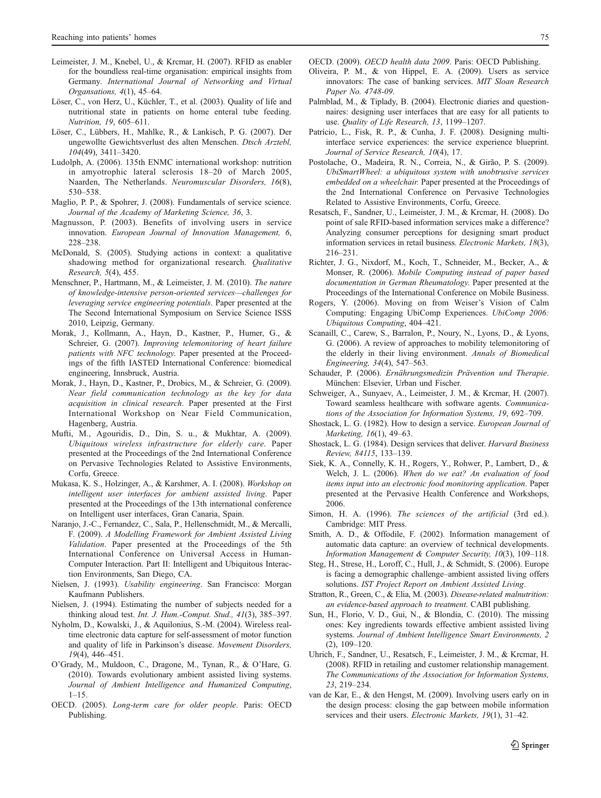- <span id="page-13-0"></span>Leimeister, J. M., Knebel, U., & Krcmar, H. (2007). RFID as enabler for the boundless real-time organisation: empirical insights from Germany. International Journal of Networking and Virtual Organsations, 4(1), 45–64.
- Löser, C., von Herz, U., Küchler, T., et al. (2003). Quality of life and nutritional state in patients on home enteral tube feeding. Nutrition, 19, 605–611.
- Löser, C., Lübbers, H., Mahlke, R., & Lankisch, P. G. (2007). Der ungewollte Gewichtsverlust des alten Menschen. Dtsch Arztebl, 104(49), 3411–3420.
- Ludolph, A. (2006). 135th ENMC international workshop: nutrition in amyotrophic lateral sclerosis 18–20 of March 2005, Naarden, The Netherlands. Neuromuscular Disorders, 16(8), 530–538.
- Maglio, P. P., & Spohrer, J. (2008). Fundamentals of service science. Journal of the Academy of Marketing Science, 36, 3.
- Magnusson, P. (2003). Benefits of involving users in service innovation. European Journal of Innovation Management, 6, 228–238.
- McDonald, S. (2005). Studying actions in context: a qualitative shadowing method for organizational research. Qualitative Research, 5(4), 455.
- Menschner, P., Hartmann, M., & Leimeister, J. M. (2010). The nature of knowledge-intensive person-oriented services—challenges for leveraging service engineering potentials. Paper presented at the The Second International Symposium on Service Science ISSS 2010, Leipzig, Germany.
- Morak, J., Kollmann, A., Hayn, D., Kastner, P., Humer, G., & Schreier, G. (2007). Improving telemonitoring of heart failure patients with NFC technology. Paper presented at the Proceedings of the fifth IASTED International Conference: biomedical engineering, Innsbruck, Austria.
- Morak, J., Hayn, D., Kastner, P., Drobics, M., & Schreier, G. (2009). Near field communication technology as the key for data acquisition in clinical research. Paper presented at the First International Workshop on Near Field Communication, Hagenberg, Austria.
- Mufti, M., Agouridis, D., Din, S. u., & Mukhtar, A. (2009). Ubiquitous wireless infrastructure for elderly care. Paper presented at the Proceedings of the 2nd International Conference on Pervasive Technologies Related to Assistive Environments, Corfu, Greece.
- Mukasa, K. S., Holzinger, A., & Karshmer, A. I. (2008). Workshop on intelligent user interfaces for ambient assisted living. Paper presented at the Proceedings of the 13th international conference on Intelligent user interfaces, Gran Canaria, Spain.
- Naranjo, J.-C., Fernandez, C., Sala, P., Hellenschmidt, M., & Mercalli, F. (2009). A Modelling Framework for Ambient Assisted Living Validation. Paper presented at the Proceedings of the 5th International Conference on Universal Access in Human-Computer Interaction. Part II: Intelligent and Ubiquitous Interaction Environments, San Diego, CA.
- Nielsen, J. (1993). Usability engineering. San Francisco: Morgan Kaufmann Publishers.
- Nielsen, J. (1994). Estimating the number of subjects needed for a thinking aloud test. Int. J. Hum.-Comput. Stud., 41(3), 385–397.
- Nyholm, D., Kowalski, J., & Aquilonius, S.-M. (2004). Wireless realtime electronic data capture for self-assessment of motor function and quality of life in Parkinson's disease. Movement Disorders, 19(4), 446–451.
- O'Grady, M., Muldoon, C., Dragone, M., Tynan, R., & O'Hare, G. (2010). Towards evolutionary ambient assisted living systems. Journal of Ambient Intelligence and Humanized Computing,  $1 - 15$ .
- OECD. (2005). Long-term care for older people. Paris: OECD Publishing.

OECD. (2009). OECD health data 2009. Paris: OECD Publishing.

- Oliveira, P. M., & von Hippel, E. A. (2009). Users as service innovators: The case of banking services. MIT Sloan Research Paper No. 4748-09.
- Palmblad, M., & Tiplady, B. (2004). Electronic diaries and questionnaires: designing user interfaces that are easy for all patients to use. Quality of Life Research, 13, 1199–1207.
- Patrício, L., Fisk, R. P., & Cunha, J. F. (2008). Designing multiinterface service experiences: the service experience blueprint. Journal of Service Research, 10(4), 17.
- Postolache, O., Madeira, R. N., Correia, N., & Girão, P. S. (2009). UbiSmartWheel: a ubiquitous system with unobtrusive services embedded on a wheelchair. Paper presented at the Proceedings of the 2nd International Conference on Pervasive Technologies Related to Assistive Environments, Corfu, Greece.
- Resatsch, F., Sandner, U., Leimeister, J. M., & Krcmar, H. (2008). Do point of sale RFID-based information services make a difference? Analyzing consumer perceptions for designing smart product information services in retail business. Electronic Markets, 18(3), 216–231.
- Richter, J. G., Nixdorf, M., Koch, T., Schneider, M., Becker, A., & Monser, R. (2006). Mobile Computing instead of paper based documentation in German Rheumatology. Paper presented at the Proceedings of the International Conference on Mobile Business.
- Rogers, Y. (2006). Moving on from Weiser's Vision of Calm Computing: Engaging UbiComp Experiences. UbiComp 2006: Ubiquitous Computing, 404–421.
- Scanaill, C., Carew, S., Barralon, P., Noury, N., Lyons, D., & Lyons, G. (2006). A review of approaches to mobility telemonitoring of the elderly in their living environment. Annals of Biomedical Engineering, 34(4), 547–563.
- Schauder, P. (2006). Ernährungsmedizin Prävention und Therapie. München: Elsevier, Urban und Fischer.
- Schweiger, A., Sunyaev, A., Leimeister, J. M., & Krcmar, H. (2007). Toward seamless healthcare with software agents. Communications of the Association for Information Systems, 19, 692–709.
- Shostack, L. G. (1982). How to design a service. European Journal of Marketing, 16(1), 49–63.
- Shostack, L. G. (1984). Design services that deliver. Harvard Business Review, 84115, 133–139.
- Siek, K. A., Connelly, K. H., Rogers, Y., Rohwer, P., Lambert, D., & Welch, J. L. (2006). When do we eat? An evaluation of food items input into an electronic food monitoring application. Paper presented at the Pervasive Health Conference and Workshops, 2006.
- Simon, H. A. (1996). The sciences of the artificial (3rd ed.). Cambridge: MIT Press.
- Smith, A. D., & Offodile, F. (2002). Information management of automatic data capture: an overview of technical developments. Information Management & Computer Security, 10(3), 109–118.
- Steg, H., Strese, H., Loroff, C., Hull, J., & Schmidt, S. (2006). Europe is facing a demographic challenge–ambient assisted living offers solutions. IST Project Report on Ambient Assisted Living.
- Stratton, R., Green, C., & Elia, M. (2003). Disease-related malnutrition: an evidence-based approach to treatment. CABI publishing.
- Sun, H., Florio, V. D., Gui, N., & Blondia, C. (2010). The missing ones: Key ingredients towards effective ambient assisted living systems. Journal of Ambient Intelligence Smart Environments, 2 (2), 109–120.
- Uhrich, F., Sandner, U., Resatsch, F., Leimeister, J. M., & Krcmar, H. (2008). RFID in retailing and customer relationship management. The Communications of the Association for Information Systems, 23, 219–234.
- van de Kar, E., & den Hengst, M. (2009). Involving users early on in the design process: closing the gap between mobile information services and their users. Electronic Markets, 19(1), 31-42.